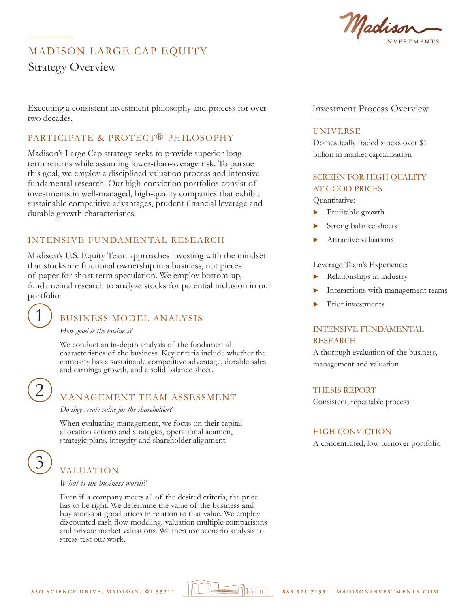

# MADISON LARGE CAP EQUITY

# Strategy Overview

Executing a consistent investment philosophy and process for over two decades.

## PARTICIPATE & PROTECT® PHILOSOPHY

Madison's Large Cap strategy seeks to provide superior longterm returns while assuming lower-than-average risk. To pursue this goal, we employ a disciplined valuation process and intensive fundamental research. Our high-conviction portfolios consist of investments in well-managed, high-quality companies that exhibit sustainable competitive advantages, prudent financial leverage and durable growth characteristics.

### INTENSIVE FUNDAMENTAL RESEARCH

Madison's U.S. Equity Team approaches investing with the mindset that stocks are fractional ownership in a business, not pieces of paper for short-term speculation. We employ bottom-up, fundamental research to analyze stocks for potential inclusion in our portfolio.

## BUSINESS MODEL ANALYSIS

#### *How good is the business?*

1

2

3

We conduct an in-depth analysis of the fundamental characteristics of the business. Key criteria include whether the company has a sustainable competitive advantage, durable sales and earnings growth, and a solid balance sheet.

# MANAGEMENT TEAM ASSESSMENT

*Do they create value for the shareholder?*

When evaluating management, we focus on their capital allocation actions and strategies, operational acumen, strategic plans, integrity and shareholder alignment.

# VALUATION

#### *What is the business worth?*

Even if a company meets all of the desired criteria, the price has to be right. We determine the value of the business and buy stocks at good prices in relation to that value. We employ discounted cash flow modeling, valuation multiple comparisons and private market valuations. We then use scenario analysis to stress test our work.

### Investment Process Overview

#### UNIVERSE

Domestically traded stocks over \$1 billion in market capitalization

### SCREEN FOR HIGH QUALITY AT GOOD PRICES

#### Quantitative:

- Profitable growth
- Strong balance sheets
- Attractive valuations

#### Leverage Team's Experience:

- Relationships in industry
- Interactions with management teams
- Prior investments

### INTENSIVE FUNDAMENTAL RESEARCH

A thorough evaluation of the business, management and valuation

#### THESIS REPORT

Consistent, repeatable process

#### HIGH CONVICTION

A concentrated, low turnover portfolio